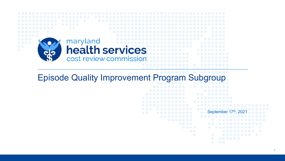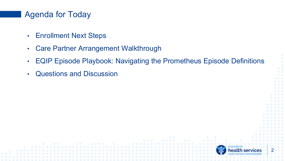#### Agenda for Today

- Enrollment Next Steps
- Care Partner Arrangement Walkthrough
- EQIP Episode Playbook: Navigating the Prometheus Episode Definitions
- Questions and Discussion

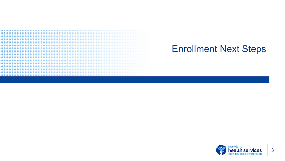

## Enrollment Next Steps

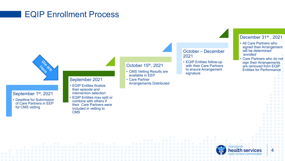#### EQIP Enrollment Process



September 1st, 2021

• Deadline for Submission of Care Partners in EEP for CMS vetting

#### September 2021

- EQIP Entities finalize their episode and intervention selection
- EQIP Entities may split or combine with others if their Care Partners were included in vetting to **CMS**

#### October 15th, 2021

- CMS Vetting Results are available in EEP
- Care Partner
- Arrangements Distributed

October – December 2021

• EQIP Entities follow-up with their Care Partners to ensure Arrangement signature

#### December 31<sup>st</sup>, 2021

- All Care Partners who signed their Arrangement will be determined 'enrolled'
- Care Partners who do not sign their Arrangements are removed from EQIP Entities for Performance

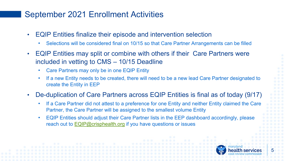#### September 2021 Enrollment Activities

- EQIP Entities finalize their episode and intervention selection
	- Selections will be considered final on 10/15 so that Care Partner Arrangements can be filled
- EQIP Entities may split or combine with others if their Care Partners were included in vetting to CMS – 10/15 Deadline
	- Care Partners may only be in one EQIP Entity
	- If a new Entity needs to be created, there will need to be a new lead Care Partner designated to create the Entity in EEP

#### • De-duplication of Care Partners across EQIP Entities is final as of today (9/17)

- If a Care Partner did not attest to a preference for one Entity and neither Entity claimed the Care Partner, the Care Partner will be assigned to the smallest volume Entity
- EQIP Entities should adjust their Care Partner lists in the EEP dashboard accordingly, please reach out to [EQIP@crisphealth.org](mailto:EQIP@crisphealth.org) if you have questions or issues

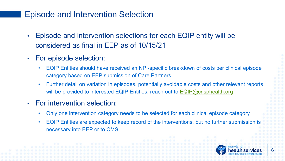#### Episode and Intervention Selection

- Episode and intervention selections for each EQIP entity will be considered as final in EEP as of 10/15/21
- For episode selection:
	- EQIP Entities should have received an NPI-specific breakdown of costs per clinical episode category based on EEP submission of Care Partners
	- Further detail on variation in episodes, potentially avoidable costs and other relevant reports will be provided to interested EQIP Entities, reach out to [EQIP@crisphealth.org](mailto:EQIP@crisphealth.org)
- For intervention selection:
	- Only one intervention category needs to be selected for each clinical episode category
	- EQIP Entities are expected to keep record of the interventions, but no further submission is necessary into EEP or to CMS

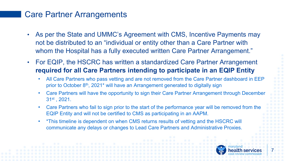#### Care Partner Arrangements

- As per the State and UMMC's Agreement with CMS, Incentive Payments may not be distributed to an "individual or entity other than a Care Partner with whom the Hospital has a fully executed written Care Partner Arrangement."
- For EQIP, the HSCRC has written a standardized Care Partner Arrangement **required for all Care Partners intending to participate in an EQIP Entity**
	- All Care Partners who pass vetting and are not removed from the Care Partner dashboard in EEP prior to October 8th, 2021\* will have an Arrangement generated to digitally sign
	- Care Partners will have the opportunity to sign their Care Partner Arrangement through December 31st , 2021.
	- Care Partners who fail to sign prior to the start of the performance year will be removed from the EQIP Entity and will not be certified to CMS as participating in an AAPM.
	- \*This timeline is dependent on when CMS returns results of vetting and the HSCRC will communicate any delays or changes to Lead Care Partners and Administrative Proxies.

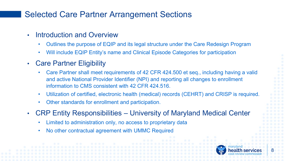## Selected Care Partner Arrangement Sections

- Introduction and Overview
	- Outlines the purpose of EQIP and its legal structure under the Care Redesign Program
	- Will include EQIP Entity's name and Clinical Episode Categories for participation
- Care Partner Eligibility
	- Care Partner shall meet requirements of 42 CFR 424.500 et seq., including having a valid and active National Provider Identifier (NPI) and reporting all changes to enrollment information to CMS consistent with 42 CFR 424.516.
	- Utilization of certified, electronic health (medical) records (CEHRT) and CRISP is required.
	- Other standards for enrollment and participation.
- CRP Entity Responsibilities University of Maryland Medical Center
	- Limited to administration only, no access to proprietary data
	- No other contractual agreement with UMMC Required

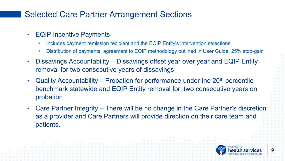### Selected Care Partner Arrangement Sections

- EQIP Incentive Payments
	- Includes payment remission recipient and the EQIP Entity's intervention selections
	- Distribution of payments, agreement to EQIP methodology outlined in User Guide, 25% stop-gain
- Dissavings Accountability Dissavings offset year over year and EQIP Entity removal for two consecutive years of dissavings
- Quality Accountability Probation for performance under the  $20<sup>th</sup>$  percentile benchmark statewide and EQIP Entity removal for two consecutive years on probation
- Care Partner Integrity There will be no change in the Care Partner's discretion as a provider and Care Partners will provide direction on their care team and patients.

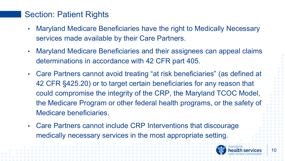#### Section: Patient Rights

- Maryland Medicare Beneficiaries have the right to Medically Necessary services made available by their Care Partners.
- Maryland Medicare Beneficiaries and their assignees can appeal claims determinations in accordance with 42 CFR part 405.
- Care Partners cannot avoid treating "at risk beneficiaries" (as defined at 42 CFR §425.20) or to target certain beneficiaries for any reason that could compromise the integrity of the CRP, the Maryland TCOC Model, the Medicare Program or other federal health programs, or the safety of Medicare beneficiaries.
- Care Partners cannot include CRP Interventions that discourage medically necessary services in the most appropriate setting.

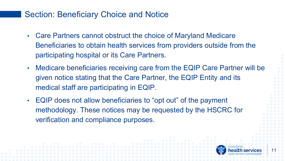#### Section: Beneficiary Choice and Notice

- Care Partners cannot obstruct the choice of Maryland Medicare Beneficiaries to obtain health services from providers outside from the participating hospital or its Care Partners.
- Medicare beneficiaries receiving care from the EQIP Care Partner will be given notice stating that the Care Partner, the EQIP Entity and its medical staff are participating in EQIP.
- EQIP does not allow beneficiaries to "opt out" of the payment methodology. These notices may be requested by the HSCRC for verification and compliance purposes.

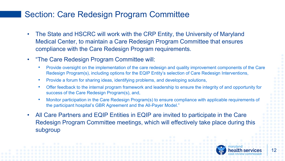### Section: Care Redesign Program Committee

- The State and HSCRC will work with the CRP Entity, the University of Maryland Medical Center, to maintain a Care Redesign Program Committee that ensures compliance with the Care Redesign Program requirements.
- "The Care Redesign Program Committee will:
	- Provide oversight on the implementation of the care redesign and quality improvement components of the Care Redesign Program(s), including options for the EQIP Entity's selection of Care Redesign Interventions,
	- Provide a forum for sharing ideas, identifying problems, and developing solutions,
	- Offer feedback to the internal program framework and leadership to ensure the integrity of and opportunity for success of the Care Redesign Program(s), and,
	- Monitor participation in the Care Redesign Program(s) to ensure compliance with applicable requirements of the participant hospital's GBR Agreement and the All-Payer Model."
- All Care Partners and EQIP Entities in EQIP are invited to participate in the Care Redesign Program Committee meetings, which will effectively take place during this subgroup

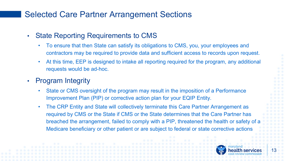### Selected Care Partner Arrangement Sections

- State Reporting Requirements to CMS
	- To ensure that then State can satisfy its obligations to CMS, you, your employees and contractors may be required to provide data and sufficient access to records upon request.
	- At this time, EEP is designed to intake all reporting required for the program, any additional requests would be ad-hoc.
- Program Integrity
	- State or CMS oversight of the program may result in the imposition of a Performance Improvement Plan (PIP) or corrective action plan for your EQIP Entity.
	- The CRP Entity and State will collectively terminate this Care Partner Arrangement as required by CMS or the State if CMS or the State determines that the Care Partner has breached the arrangement, failed to comply with a PIP, threatened the health or safety of a Medicare beneficiary or other patient or are subject to federal or state corrective actions

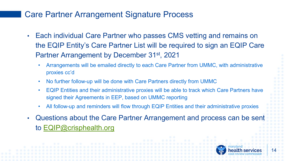### Care Partner Arrangement Signature Process

- Each individual Care Partner who passes CMS vetting and remains on the EQIP Entity's Care Partner List will be required to sign an EQIP Care Partner Arrangement by December 31st, 2021
	- Arrangements will be emailed directly to each Care Partner from UMMC, with administrative proxies cc'd
	- No further follow-up will be done with Care Partners directly from UMMC
	- EQIP Entities and their administrative proxies will be able to track which Care Partners have signed their Agreements in EEP, based on UMMC reporting
	- All follow-up and reminders will flow through EQIP Entities and their administrative proxies
- Questions about the Care Partner Arrangement and process can be sent to [EQIP@crisphealth.org](mailto:EQIP@crisphealth.org)

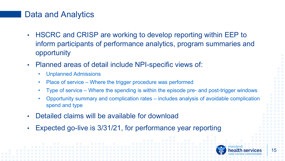#### Data and Analytics

- HSCRC and CRISP are working to develop reporting within EEP to inform participants of performance analytics, program summaries and opportunity
- Planned areas of detail include NPI-specific views of:
	- Unplanned Admissions
	- Place of service Where the trigger procedure was performed
	- Type of service Where the spending is within the episode pre- and post-trigger windows
	- Opportunity summary and complication rates includes analysis of avoidable complication spend and type
- Detailed claims will be available for download
- Expected go-live is 3/31/21, for performance year reporting

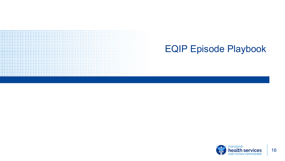# ,,,,,,,,,,,,,,,,,,,,,,,,,,,,,,,,,,,,, ...................................... ............................... ...............................

# EQIP Episode Playbook

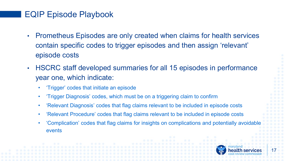## EQIP Episode Playbook

- Prometheus Episodes are only created when claims for health services contain specific codes to trigger episodes and then assign 'relevant' episode costs
- HSCRC staff developed summaries for all 15 episodes in performance year one, which indicate:
	- 'Trigger' codes that initiate an episode
	- 'Trigger Diagnosis' codes, which must be on a triggering claim to confirm
	- 'Relevant Diagnosis' codes that flag claims relevant to be included in episode costs
	- 'Relevant Procedure' codes that flag claims relevant to be included in episode costs
	- 'Complication' codes that flag claims for insights on complications and potentially avoidable events

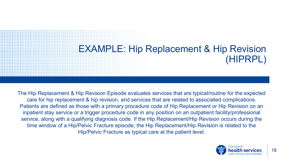# EXAMPLE: Hip Replacement & Hip Revision (HIPRPL)

The Hip Replacement & Hip Revision Episode evaluates services that are typical/routine for the expected care for hip replacement & hip revision, and services that are related to associated complications. Patients are defined as those with a primary procedure code of Hip Replacement or Hip Revision on an inpatient stay service or a trigger procedure code in any position on an outpatient facility/professional service, along with a qualifying diagnosis code. If the Hip Replacement/Hip Revision occurs during the time window of a Hip/Pelvic Fracture episode, the Hip Replacement/Hip Revision is related to the Hip/Pelvic Fracture as typical care at the patient level.

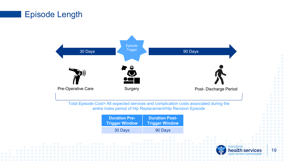#### Episode Length



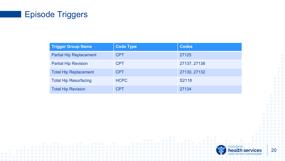## Episode Triggers

| <b>Trigger Group Name</b>      | <b>Code Type</b> | <b>Codes</b> |
|--------------------------------|------------------|--------------|
| <b>Partial Hip Replacement</b> | <b>CPT</b>       | 27125        |
| <b>Partial Hip Revision</b>    | <b>CPT</b>       | 27137, 27138 |
| <b>Total Hip Replacement</b>   | <b>CPT</b>       | 27130, 27132 |
| <b>Total Hip Resurfacing</b>   | <b>HCPC</b>      | S2118        |
| <b>Total Hip Revision</b>      | <b>CPT</b>       | 27134        |

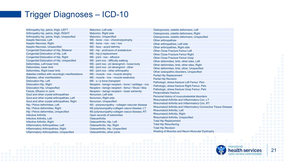### Trigger Diagnoses – ICD-10

Arthropathy hip, pelvis, thigh, LEFT Arthropathy hip, pelvis, thigh, RIGHT Arthropathy hip, pelvis, thigh, Unspecified Aseptic Necrosis, Left Aseptic Necrosis, Right Aseptic Necrosis, Unspecified Congenital Dislocation of Hip, Bilateral Congenital Dislocation of Hip, Left Congenital Dislocation of Hip, Right Congenital Dislocation of Hip, Unspecified Deformities, Left lower limb Deformities, lower limb Deformities, Right lower limb diabetes mellitus with neurologic manifestations Diabetes, other manifestation Dislocation Hip, Left Dislocation Hip, Right Dislocation Hip, Unspecified Fistula, Effusion in Joint Gout and other crystal arthropathies Gout and other crystal arthropathies, Left Gout and other crystal arthropathies, Right Hip / Pelvis deformities, Left Hip / Pelvis deformities, Right Hip / Pelvis deformities, Unspecified Infective Arthritis Infective Arthritis, Left Infective Arthritis, Right Inflammatory Arthropathies, Left Inflammatory Arthropathies, Right Inflammatory Arthropathies, Unspecified

Malunion, Left side Malunion, Right side Malunion, Unspecified MS - bone - nos - chondrodystrophy MS - bone - nos - nec / nos MS - face - acqrd defrmty MS - hip - protrusion of acetabulum MS - hip jt replacement MS - joint - nos - effusion MS - joint nos - difficulty walking MS - joint nos - jnt derangmnt - loose body MS - joint nos - jnt derangmnt - other MS - joint nos - other arthropathy MS - muscle - nos - muscle atrophy MS - muscle - nos - muscle weakness MS - s / p bone transplant Neoplsm - benign neoplsm - bone / cartilage - nos Neoplsm - benign neoplsm - femur / fibula / tibia Neoplsm - benign neoplsm - lower extremity Nonunion, Left side Nonunion, Right side Nonunion, Unspecified NS - polyneuropathy - collagen vascular disease NS polyneuropathy-collagen vascul disease, LT NS polyneuropathy-collagen vascul disease, RT Open wounds of extremities **Osteoarthritis** Osteoarthritis, Hip, Left Osteoarthritis, Hip, Right Osteoarthritis, Hip, Unspecified Osteoarthritis, other joints

Osteoporosis, ostetits deformans, Left Osteoporosis, ostetits deformans, Right Osteoporosis, ostetits deformans, Unspecified Other arthropathies Other arthropathies, Left side Other arthropathies, Right side Other Close Fracture Femur Left Other Close Fracture Femur Right Other Close Fracture Femur Unsp Other deformities, limb, other sites, Left Other deformities, limb, other sites, Right Other deformities, limb, other, Unspecified Other osteopathic disorders, Unspecified Partial Hip Replacement Partial Hip Revision Pathologic, stress fracture Left Femur, Pelv Pathologic, stress fracture Right Femur, Pelv Pathologic, stress fracture Unsp Femur, Pelv Periprosthetic fracture Personal history of musculoskeletal disorders Rheumatoid Arthritis and Inflammatory Con, LT Rheumatoid Arthritis and Inflammatory Con, RT Rheumatoid Arthritis and Inflammatory Connective Tissue Disease Rheumatoid Arthritis, Left Rheumatoid Arthritis, Right Rheumatoid Arthritis, Unspecified Total Hip Replacement Total Hip Resurfacing Total Hip Revision Wasting of Muscles and Neuro Muscular Dystrophy

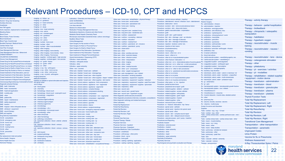#### Relevant Procedures – ICD-10, CPT and HCPCS

|                                                         | Imaging - ct - follow - up                                                              | Laboratory - Chemistry and Hematology                                                                                 |                                                                   |                                                                                                             |                                                         |
|---------------------------------------------------------|-----------------------------------------------------------------------------------------|-----------------------------------------------------------------------------------------------------------------------|-------------------------------------------------------------------|-------------------------------------------------------------------------------------------------------------|---------------------------------------------------------|
| Advance care planning<br>Alcohol / Drug Use Screening   | Imaging - ct - guidance                                                                 | <b>LEAD SCREENING</b>                                                                                                 | Other care - home care - rehabilitation - physical therapy        | Procedure - central venous catheter - insertion                                                             | <b>Risk Assessment</b>                                  |
|                                                         | Imaging - ct - lower extremity                                                          |                                                                                                                       | Other care - home care - social worker                            | Procedure - debridement - wound / infection / burn - debridement                                            | <b>Robotic Surgery</b>                                  |
| <b>Ancillary Services</b>                               | Imaging - ct - other                                                                    | <b>Lipid Level Monitoring</b>                                                                                         | Other care - home care - specialized visit                        | Procedure - destruction - nerve                                                                             | Rx - administration - infusion                          |
| Anesthesia                                              | Imaging - ct - study                                                                    | Low dose steroids                                                                                                     | Other care - home care - training                                 | Procedure - excision - skin - remove subcutaneous lesion                                                    | Rx - administration - injection                         |
| <b>Anti-TNF</b> agents                                  | Imaging - mra - lower extremity                                                         | Markers for Inflammation                                                                                              | Other care - hospice                                              | Procedure - excision - skin - shave skin lesion                                                             | Rx - antibiotics - aminoglycosides                      |
| Aortic resection, replacement or anastomosis            | Imaging - mra - pelvis                                                                  | <b>Medication Therapy Management Services</b>                                                                         | Other care - long term care - assisted living                     | Procedure - gastric neurostimulator - implantation                                                          | Rx - antibiotics - anti-infectives, misc                |
| <b>Bleeding Status</b>                                  | Imaging - mri - contrast agent                                                          | Medications (Injections, infusions and other forms)                                                                   | Other care - long term care - residential care                    | Procedure - graft                                                                                           | Rx - antibiotics - cephalosporins                       |
| <b>Blood Count</b>                                      | Imaging - mri - guidance                                                                | Metabolic Renal Hepatic Chemistry Panel                                                                               | Other care - nutrition - assessment                               | Procedure - graft - skin - graft material                                                                   | Rx - antibiotics - chloramphenicol / comb               |
| <b>Blood Gases, Pulse Oximetry</b>                      | Imaging - mri - other                                                                   | Microscopic examination (bacterial smear, culture, toxicology)                                                        | Other care - nutrition - counseling - dietician                   | Procedure - i&d - skin - drainage - post - op infection                                                     | Rx - antibiotics - macrolides                           |
| <b>Blood transfusion</b>                                | Imaging - mri - pelvis                                                                  | <b>NewBorn Blood Tests</b>                                                                                            | Other care - nutrition - education                                | Procedure - i&d - skin - drainage of abscess                                                                | Rx - antibiotics - penicillins                          |
| <b>Blood Type, Coomb's test</b>                         | Imaging - nuclear - bone scan                                                           | <b>Online Management</b>                                                                                              | Other care - nutrition - medical food                             | Procedure - i&d - skin - drainage of hematoma                                                               | Rx - antibiotics - quinolones                           |
| <b>Bundled Payment / Medical Home</b>                   | Imaging - nuclear - other                                                               | Open Surgery for Hip socket or Pelvis                                                                                 | Other care - nutrition - parenteral - all - inclusive             | Procedure - injection - tendons / joints / etc.                                                             | Rx - antibiotics - sulfonamides / comb                  |
| <b>Cardiac Stress Test</b>                              | Imaging - nuclear - other musculoskeletal                                               | Open Surgery for Neck or Proximal Femur                                                                               | Other care - nutrition - parenteral - pump                        | Procedure - injection of skin lesion                                                                        | Rx - antibiotics - tetracyclines                        |
| Care Plan Oversight                                     | Imaging - other imaging                                                                 | Open Surgery for Shaft or Distal Femur                                                                                | Other care - observation                                          | Procedure - lymphadenectomy                                                                                 | Rx - antibiotics / antivirals / antifungals -           |
| <b>Case Management Services</b>                         | Imaging - other imaging - bone density                                                  | Open treatment of Hip Dislocation, Spontaneou                                                                         | Other care - other                                                | Procedure - microsurgery                                                                                    | Rx - antibiotics, misc                                  |
| Case Management Services - Behavioral                   | Imaging - other imaging - bone density - dexa                                           | Open treatment of Hip Dislocation, Traumatic                                                                          | Other care - other - ancillary services                           | Procedure - neuro - other non - or rx                                                                       | Rx - b-lactam antibiotics                               |
| CHEMOTHERAPY                                            | Imaging - other imaging - fluoroscopy                                                   | Open treatment of Slipped Femoral Epiphysis                                                                           | Other care - other - exercise classes                             | Procedure - neuro - other or rx                                                                             | Rx - blood derivatives                                  |
| <b>CHLAMYDIA SCREENING</b>                              | Imaging - supplies - contrast agent - high osmolar                                      | Opioid Administration / Dispensing (OTP)                                                                              | Other care - other - infection control                            | Procedure - other dx on musculoskeletal system                                                              | Rx - cardiovascular system - vasodilating               |
| <b>Chronic Care Management</b>                          | Imaging - supplies - contrast agent - low osmolar                                       | Orthotics - lower extremity                                                                                           | Other care - other - interpretation                               | Procedure - other fracture / dislocation - rx                                                               | Rx - cardiovascular system - vasodilating               |
| Closed Surg for Hip socket/Pelvis w/manipulat           | Imaging - us - guide - biopsy                                                           | Orthotics - orthopedic shoes                                                                                          | Other care - other - lodging                                      | Procedure - other non - or rx - chemodenervation of eccrine glands Rx - coagulation system - anticoagulants |                                                         |
| Closed Surg for Neck/Proximal Femur w/manipul           | Imaging - us - guide - other                                                            | Orthotics - other                                                                                                     | Other care - other - meals                                        | Procedure - other non - or rx - other non - or skin procedures                                              | Rx - coagulation system - antiheparin ag                |
| Closed Surg for Neck/Proximal Femur, no manip           | Imaging - us - other                                                                    | Orthotics - upper extremity                                                                                           | Other care - other - medical records                              | Procedure - other non - or rx on musculoskeletal system                                                     | Rx - coagulation system - hemostatics                   |
| Closed Surg for Shaft or Distal Femur, no man           | Imaging - x-ray - hip - arthrogram                                                      | Other - non - covered                                                                                                 |                                                                   |                                                                                                             | Rx - diagnostic rx - roentgenography                    |
| Closed Surg Hip Socket or Pelvis, no manipul            | Imaging - x-ray - other - bone survey                                                   | Other care - bladder / bowel care - catheter                                                                          | Other care - other - pvd - compressor                             | Procedure - other or rx - other or skin procedures                                                          | Rx - diuretics, loop diuretics                          |
| Closed treatment of Hip Dislocation, post sur           | Imaging - x-ray - other - joint survey                                                  |                                                                                                                       | Other care - other - weight management                            | Procedure - other or rx - peripheral neurostimulator procedures                                             | Rx - electrolytic, caloric, water - caloric rx          |
| Closed treatment of Hip Dislocation, Spontane           | Imaging - x-ray - si joints - arthrogram                                                | Other care - bladder / bowel care - drainage bag                                                                      | Other care - pain management - pca / related                      | Procedure - other or rx on bone                                                                             | Rx - electrolytic, caloric, water - hydration           |
| Closed treatment of Hip Dislocation, Traumat            | <b>Imaging Abdomen</b>                                                                  | Other care - bladder / bowel care - other supplies                                                                    | Other care - prevention - smoking cessation                       | Procedure - other or rx on joints                                                                           | Rx - electrolytic, caloric, water - multi-mir           |
| <b>Closed treatment of Slipped Femoral Epiphysis</b>    | <b>IMMUNOTHERAPY</b>                                                                    | Other care - bladder / bowel care - other supplies - diaper / related Other care - respiratory - equipment / supplies |                                                                   | Procedure - other or rx on musculoskeletal system                                                           | Rx - electrolytic, caloric, water - potassiu            |
|                                                         | Insertion of catheter or spinal stimulator and injection                                | Other care - bladder / bowel care - other supplies - skin barrier                                                     | Other care - respiratory - equipment / supplies - nebulizer       | Procedure - other rx on muscles and tendons                                                                 |                                                         |
| Colonoscopy/Sigmoidoscopy ColorectalCa Screen           | into spinal canal                                                                       | Other care - chronic edema - appliance - limb compression                                                             | Other care - respiratory - equipment / supplies - peak flow meter | Procedure - other spine - rx / dx - injection                                                               | Rx - gi - antiemetics                                   |
| Diagnostic physical therapy<br>DME - bath / toilet aids | Joint X-Rays                                                                            | Other care - chronic edema - appliance - non - segmental                                                              | Other care - respiratory - equipment / supplies - spirometer      | Procedure - partial excision bone                                                                           | $Rx - qi - \text{ppis}$                                 |
|                                                         | Lab - blood gases                                                                       | Other care - chronic edema - appliance - segmental                                                                    | Other care - respiratory - other                                  | Procedure - peripheral nerve repair / graft                                                                 | Rx - hematopoietic system - hematopoie                  |
| DME - beds / accessories                                | Lab - chemistry                                                                         | Other care - chronic edema - complex therapy                                                                          | Other care - wound care                                           | Procedure - related supplies - ablation - catheter                                                          | Rx - hematopoietic system - iron / related              |
| DME - heat/cold application                             | Lab - hematology - blood count                                                          | Other care - chronic edema - compression stocking                                                                     | Other care - wound care - growth factor                           | Procedure - related supplies - access catheter                                                              | Rx - miscellaneous rx                                   |
| DME - mobility aids                                     | Lab - hematology - blood count - eosinophil count                                       | Other care - chronic edema - compressor                                                                               | Other care - wound care - hyperbaric oxygen                       | Procedure - related supplies - arthroplasty                                                                 | Rx - miscellaneous rx - enzymes                         |
| DME - other                                             | Lab - hematology - coagulation                                                          | Other care - chronic edema - compressor - non - segmental                                                             | Other diagnostic cardiovascular procedures                        | Procedure - related supplies - graft / repair                                                               | Rx - muscle relaxants - muscle relax, ske               |
| <b>DME</b> - patient lifts                              | Lab - immunology                                                                        | Other care - chronic edema - compressor - segmental                                                                   | Other diagnostic procedures (interview, evaluation, consultation) | Procedure - related supplies - implant                                                                      | Rx - other                                              |
| DME - repair / maintenance                              | Lab - infectious agent antibody                                                         | Other care - chronic edema - exterior wrap                                                                            | Other diagnostic radiology and related techniques                 | Procedure - related supplies - other                                                                        | Rx - pharmacy fee                                       |
| <b>DME</b> - safety equipment                           | Lab - infectious agent antigen                                                          | Other care - chronic edema - gauntlet                                                                                 | <b>Other Laboratory</b>                                           | Procedure - removal of pins or fixation                                                                     | Rx - serums, toxoids, vaccines - serums                 |
| DME - traction                                          | Lab - infectious agent dna                                                              | Other care - chronic edema - sleeve                                                                                   | <b>Partial Hip Replacement</b>                                    | Procedure - rx - fracture / dislocation - hip / femur                                                       | Rx - vitamins - multivit prep                           |
| DME - trapeze / other orthopedic device                 | Lab - microbiology                                                                      | Other care - chronic edema - surgical stockings                                                                       | <b>Partial Hip Resurfacing</b>                                    | Procedure - spinal canal - catheter                                                                         | Screen for amino acid disorders                         |
| DME - whirlpool - equipment                             | Lab - microbiology - c & s                                                              | Other care - home care - emergency response system                                                                    | <b>Partial Hip Revision</b>                                       | Procedure - spinal canal - injection into spinal canal                                                      | <b>Supplies</b>                                         |
| <b>DME</b> - wound therapy                              | Lab - microbiology - microscopic exam                                                   | Other care - home care - home health aide                                                                             | <b>Partial Hip Revision, Left</b>                                 | Procedure - spinal canal - other                                                                            | Tests - cardiac - ecg - ecg - 12 lead                   |
| DME and supplies                                        | Lab - microbiology - other<br>Lab - other clinical lab                                  | Other care - home care - meals                                                                                        | <b>Partial Hip Revision, Right</b>                                | Procedure - suture - skin - complex wound repair                                                            | Tests - cardiac - ecg - other                           |
| Drug Deiivery implantation                              |                                                                                         | Other care - home care - nursing care                                                                                 | Pathology                                                         | Procedure - suture - skin - delayed wound closure                                                           | Tests - cardiac stress tests - cardiac perf<br>exercise |
| E & M - consultation                                    | Lab - other hematology                                                                  | Other care - home care - nursing care - Ipn                                                                           | <b>Personal Care Services</b>                                     | Procedure - vascular access - port / pump - insertion                                                       | Tests - cardiac stress tests - cardiac stre             |
| E & M - emergency care                                  | Lab - pathology consultation<br>Lab - specimen collection - blood - arterial - arterial | Other care - home care - nursing care - np                                                                            | Physical Therapy / Rehab                                          | <b>Procedures and Reporting</b>                                                                             | Tests - neuro - muscle testing                          |
| $E$ & M - home visit                                    | puncture                                                                                | Other care - home care - nursing care - rn                                                                            | <b>Physician Services</b>                                         | <b>Prosthetic Implant</b>                                                                                   |                                                         |
| $E$ & M - hospital                                      | Lab - specimen collection - blood - venous -                                            |                                                                                                                       | <b>Physician Services - Inpatient</b>                             | Prosthetics - external power                                                                                | Tests - neuro - ncv / emg                               |
| $E$ & M - nursing home                                  | venipuncture                                                                            | Other care - home care - other care                                                                                   | <b>Physician Services - Outpatient</b>                            | Prosthetics - implant                                                                                       | Tests - neuro - other                                   |
| $E$ & M - other                                         | Lab - specimen collection - blood - venous - venous                                     | Other care - home care - other care - attendant care                                                                  | Preventive Medicine, Care Coordination                            | Prosthetics - lower extremity                                                                               | Tests - neuro - sleep studies                           |
| $E$ & M - prevention                                    | port                                                                                    | Other care - home care - other care - chore care                                                                      | Procedure - anesthesia                                            | Prosthetics - other                                                                                         | Tests - pulmonary - exhaled air analysis                |
| HbA1C                                                   | Lab - stat request                                                                      | Other care - home care - other care - companion care                                                                  | Procedure - arthroscopy - other joints                            | Prosthetics - repair                                                                                        | Tests - pulmonary - other                               |
| Hip replacement; total and partial                      | Lab - surgical pathology                                                                | Other care - home care - other care - day care                                                                        | Procedure - block - nerve                                         | Prosthetics - upper extremity                                                                               | Tests - pulmonary - peak flow                           |
| Home Health / Hospice                                   | Lab - therapeutic drug assay                                                            | Other care - home care - other care - homemaker                                                                       |                                                                   | <b>Psychiatry Evaluations</b>                                                                               | Tests - skin                                            |
| Home Health Services                                    | Lab - tissue typing<br>Lab - transfusion medicine                                       | Other care - home care - other care - respite care                                                                    | Procedure - bone graft                                            |                                                                                                             | Tests - vascular - arterial - extremity                 |
| Hormone Therapy                                         | Lab - urinalysis                                                                        | Other care - home care - physician supervision                                                                        | Procedure - casting / splinting - application                     | <b>Psychiatry Services</b>                                                                                  | Tests - vascular - venous                               |
|                                                         |                                                                                         | Other care - home care - rehabilitation - occupational therapy                                                        | Procedure - casting / splinting - supplies                        | Psychological and psychiatric evaluation and therapy                                                        | Therapy - accupuncture                                  |

rocedures -Risk Assessment Rx - administration - infusion Rx - administration - injection Rx - antibiotics - aminoglycosides Rx - antibiotics - anti-infectives, misc Rx - antibiotics - cephalosporins Rx - antibiotics - chloramphenicol / comb Rx - antibiotics - macrolides Rx - antibiotics - penicillins Rx - antibiotics - quinolones Rx - antibiotics - sulfonamides / comb Rx - antibiotics - tetracyclines Rx - antibiotics / antivirals / antifungals - infusion Rx - antibiotics, misc Rx - b-lactam antibiotics Rx - blood derivatives Rx - cardiovascular system - vasodilating agents, nec Rx - cardiovascular system - vasodilating rx Rx - coagulation system - antiheparin agnt Rx - coagulation system - hemostatics Rx - diagnostic rx - roentgenography Rx - diuretics, loop diuretics Rx - electrolytic, caloric, water - caloric rx dextrose / rel Rx - electrolytic, caloric, water - hydration - unspecfied Rx - electrolytic, caloric, water - multi-mineral prep Rx - electrolytic, caloric, water - potassium supp Rx - gi - antiemetics Rx - gi - ppis Rx - hematopoietic system - hematopoietic growth factors Rx - hematopoietic system - iron / related Rx - miscellaneous rx Rx - miscellaneous rx - enzymes Rx - muscle relaxants - muscle relax, skeletal central Rx - other Rx - pharmacy fee Rx - serums, toxoids, vaccines - serums Rx - vitamins - multivit prep Screen for amino acid disorders **Supplies** Tests - cardiac - ecg - ecg - 12 lead Tests - cardiac - ecg - other Tests - cardiac stress tests - cardiac perfusion scan - rest / exercise Tests - cardiac stress tests - cardiac stress tests - other Tests - neuro - muscle testing Tests - neuro - ncv / emg Tests - neuro - other Tests - neuro - sleep studies Tests - pulmonary - exhaled air analysis Tests - pulmonary - other Tests - pulmonary - peak flow Tests - skin Tests - vascular - arterial - extremity Tests - vascular - venous Therapy - accupuncture

Therapy - activity therapy Therapy - behavior - partial hospilization Therapy - biofeedback Therapy - chiropractic / osteopathic manipulation Therapy - habilitation Therapy - hyperbaric oxygen Therapy - neurostimulator - muscle training Therapy - neurostimulator - nausea / vomiting Therapy - neurostimulator - tens - device Therapy - osteogenesis stimulator Therapy - other Therapy - phlebotomy Therapy - pt - exercises / activities Therapy - pt - modalities Therapy - rehabilitation - related supplies / equipment - motion device Therapy - transfusion - administration Therapy - transfusion - blood Therapy - transfusion - granulocytes Therapy - transfusion - plasma Therapy - transfusion - platelets Thyroid Function Tests Total Hip Replacement Total Hip Replacement, Left Total Hip Replacement, Right Total Hip Resurfacing Total Hip Revision Total Hip Revision, Left Total Hip Revision, Right Transitional Care Management Transportation - other transportation Transportation - paramedic Ungrouped Codes Urine Protein Vaccine for flu or Pneumonia Wellness Assessment X-Ray Thoracolumbar Spine / Pelvis

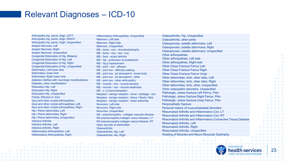#### Relevant Diagnoses – ICD-10

Arthropathy hip, pelvis, thigh, LEFT Arthropathy hip, pelvis, thigh, RIGHT Arthropathy hip, pelvis, thigh, Unspecified Aseptic Necrosis, Left Aseptic Necrosis, Right Aseptic Necrosis, Unspecified Congenital Dislocation of Hip, Bilateral Congenital Dislocation of Hip, Left Congenital Dislocation of Hip, Right Congenital Dislocation of Hip, Unspecified Deformities, Left lower limb Deformities, lower limb Deformities, Right lower limb diabetes mellitus with neurologic manifestations Diabetes, other manifestation Dislocation Hip, Left Dislocation Hip, Right Dislocation Hip, Unspecified Fistula, Effusion in Joint Gout and other crystal arthropathies Gout and other crystal arthropathies, Left Gout and other crystal arthropathies, Right Hip / Pelvis deformities, Left Hip / Pelvis deformities, Right Hip / Pelvis deformities, Unspecified Infective Arthritis Infective Arthritis, Left Infective Arthritis, Right Inflammatory Arthropathies, Left Inflammatory Arthropathies, Right

Inflammatory Arthropathies, Unspecified Malunion, Left side Malunion, Right side Malunion, Unspecified MS - bone - nos - chondrodystrophy MS - bone - nos - nec / nos MS - face - acqrd defrmty MS - hip - protrusion of acetabulum MS - hip jt replacement MS - joint - nos - effusion MS - joint nos - difficulty walking MS - joint nos - jnt derangmnt - loose body MS - joint nos - jnt derangmnt - other MS - joint nos - other arthropathy MS - muscle - nos - muscle atrophy MS - muscle - nos - muscle weakness MS - s / p bone transplant Neoplsm - benign neoplsm - bone / cartilage - nos Neoplsm - benign neoplsm - femur / fibula / tibia Neoplsm - benign neoplsm - lower extremity Nonunion, Left side Nonunion, Right side Nonunion, Unspecified NS - polyneuropathy - collagen vascular disease NS polyneuropathy-collagen vascul disease, LT NS polyneuropathy-collagen vascul disease, RT Open wounds of extremities **Osteoarthritis** Osteoarthritis, Hip, Left Osteoarthritis, Hip, Right

Osteoarthritis, Hip, Unspecified Osteoarthritis, other joints Osteoporosis, ostetits deformans, Left Osteoporosis, ostetits deformans, Right Osteoporosis, ostetits deformans, Unspecified Other arthropathies Other arthropathies, Left side Other arthropathies, Right side Other Close Fracture Femur Left Other Close Fracture Femur Right Other Close Fracture Femur Unsp Other deformities, limb, other sites, Left Other deformities, limb, other sites, Right Other deformities, limb, other, Unspecified Other osteopathic disorders, Unspecified Pathologic, stress fracture Left Femur, Pelv Pathologic, stress fracture Right Femur, Pelv Pathologic, stress fracture Unsp Femur, Pelv Periprosthetic fracture Personal history of musculoskeletal disorders Rheumatoid Arthritis and Inflammatory Con, LT Rheumatoid Arthritis and Inflammatory Con, RT Rheumatoid Arthritis and Inflammatory Connective Tissue Disease Rheumatoid Arthritis, Left Rheumatoid Arthritis, Right Rheumatoid Arthritis, Unspecified Wasting of Muscles and Neuro Muscular Dystrophy

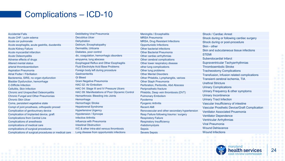### Complications – ICD-10

| <b>Accidental Falls</b>                              | <b>Debilitating Viral Pneumonia</b>                | <b>Meningitis / Encephalitis</b>              | <b>Shock / Cardiac Arrest</b>                        |
|------------------------------------------------------|----------------------------------------------------|-----------------------------------------------|------------------------------------------------------|
| Acute CHF / pulm edema                               | <b>Decubitus Ulcer</b>                             | <b>MRSA Pneumonia</b>                         | Shock during or following cardiac surgery            |
| Acute cor pulmonale                                  | Dehydration                                        | <b>MRSA, Drug Resistant Infections</b>        | Shock during or post-procedure                       |
| Acute esophagitis, acute gastritis, duodenitis       | Delirium, Encephalopathy                           | <b>Opportunistic Infections</b>               | Skin - other                                         |
| <b>Acute Kidney Failure</b>                          | Dermatitis, Urticaria                              | Other bacterial infections                    | Skin and subcutaneous tissue infections              |
| Acute myocardial infarction                          | Diabetes, poor control                             | <b>Other Bacterial Pneumonia</b>              |                                                      |
| <b>Acute Osteomyelitis</b>                           | dic, coagulation, hemorrhagic disorders            | Other cardiac arrhythmias                     | <b>STEMI</b>                                         |
| Adverse effects of drugs                             | empyema, lung abscess                              | Other cerebral complications                  | Subendocardial Infarct                               |
| <b>Altered mental status</b>                         | <b>Esophageal Reflux and Other Esophagitis</b>     | Other lower respiratory disease               | Supraventricular Tachyarrhythmias                    |
| arterial thromboembolism                             | <b>Fluid Electrolyte Acid Base Problems</b>        | other lung complications                      | <b>Thromboembolic Stroke</b>                         |
| <b>Aspiration Pneumonia</b>                          | Foreign body left during procedure                 | Other lung problems                           | <b>Tracheostomy Complications</b>                    |
| <b>Atrial Flutter / Fibrillation</b>                 | <b>Gastroenteritis</b>                             | <b>Other Mental Disorders</b>                 | Transfusion, Infusion related complications          |
| Bacteremia, SIRS, no organ dysfunction               | <b>GI Bleed</b>                                    | Other Phlebitis, Lymphangitis, varices        | Transient cerebral ischemia, TIA                     |
| <b>Bladder Dysfunction, hemorrhage</b>               | <b>Gram Negative Pneumonia</b>                     | <b>Other Staph Pneumonia</b>                  | <b>Urethral Stricture</b>                            |
| <b>C-Difficile Infection</b>                         | HAC 02: Air Embolism                               | Perforation, Peritonitis, Abd Abscess         |                                                      |
| Cellulitis, Skin Infection                           | HAC 04: Stage III and IV Pressure Ulcers           | Periprosthetic fracture                       | <b>Urinary Complications</b>                         |
| <b>Chronic and Unspecified Osteomyelitis</b>         | HAC 09: Manifestations of Poor Glycemic Control    | Phlebitis, Deep vein thrombosis (DVT)         | Urinary Frequency & other symptoms                   |
| <b>Chronic Fungal and Other Pneumonias</b>           | Hemarthrosis: Bleeding into Joints                 | <b>Pulmonary Embolism</b>                     | <b>Urinary Incontinence</b>                          |
| <b>Chronic Skin Ulcer</b>                            | Hemorrhage                                         | Pyoderma                                      | <b>Urinary Tract Infection</b>                       |
| Coma, persistent vegetative state                    | <b>Hemorrhagic Stroke</b>                          | <b>Pyogenic Arthritis</b>                     | Vascular Insufficiency of intestine                  |
| Compl of joint prosthesis, orthopedic proced         | <b>Hepatorenal Syndrome</b>                        | <b>Recent AMI</b>                             | <b>Vascular Prosthetic Device/Graft Complication</b> |
| Complication of genitourinary device                 | <b>Hypertensive Urgency</b>                        | Renovascular and other secondary hypertension | <b>Ventilator Associated Pnuemonia</b>               |
| Complication of Implanted device, graft              | <b>Hypotension / Syncope</b>                       | Resp Failure following trauma / surgery       | <b>Ventilator Dependence</b>                         |
| <b>Complications from Central Line</b>               | <b>Infective Arthritis</b>                         | <b>Respiratory Failure</b>                    |                                                      |
| <b>Complications of anesthesia</b>                   | Influenza with Pneumonia                           | <b>Respiratory Insufficiency</b>              | <b>Ventricular Arrhythmias</b>                       |
| complications of medical care                        | <b>Intestinal Obstruction</b>                      | rhabdomyolysis                                | <b>Viral Pneumonia</b>                               |
| complications of surgical procedures                 | <b>IVC &amp; other intra-abd venous thrombosis</b> | <b>Sepsis</b>                                 | <b>Wound Dehiscence</b>                              |
| Complications of surgical procedures or medical care | Lung disease from opportunistic infections         | <b>Severe Sepsis</b>                          | <b>Wound Infections</b>                              |